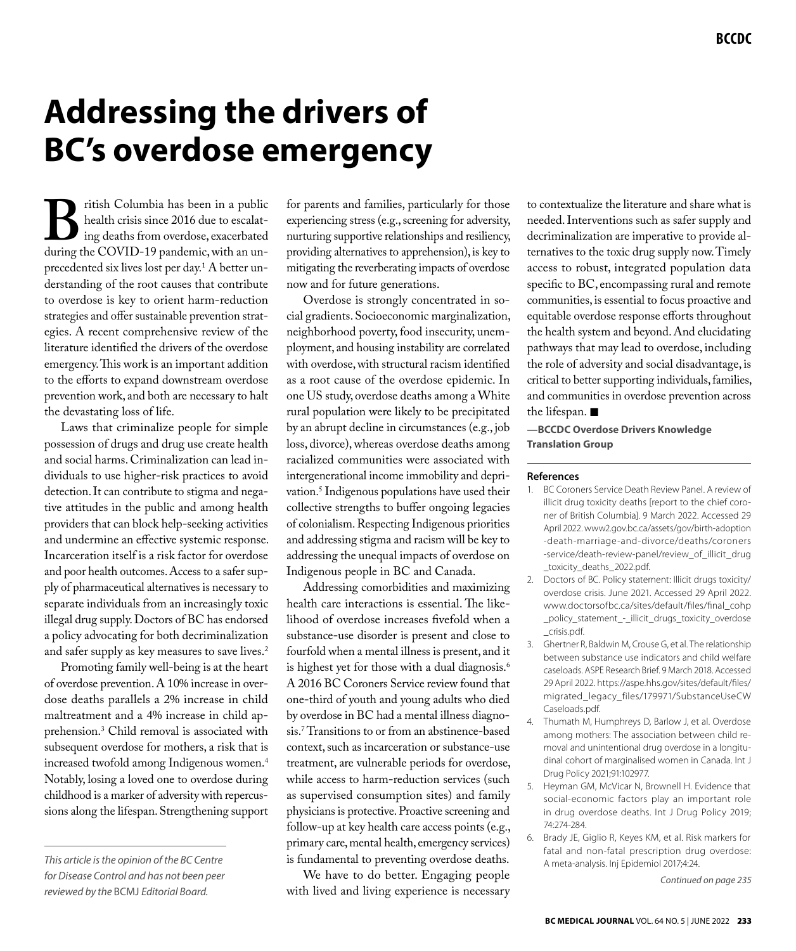# **Addressing the drivers of BC's overdose emergency**

**B**ritish Columbia has been in a public<br>health crisis since 2016 due to escalat-<br>during the COVID-19 pandemic, with an unhealth crisis since 2016 due to escalating deaths from overdose, exacerbated precedented six lives lost per day.<sup>1</sup> A better understanding of the root causes that contribute to overdose is key to orient harm-reduction strategies and offer sustainable prevention strategies. A recent comprehensive review of the literature identified the drivers of the overdose emergency. This work is an important addition to the efforts to expand downstream overdose prevention work, and both are necessary to halt the devastating loss of life.

Laws that criminalize people for simple possession of drugs and drug use create health and social harms. Criminalization can lead individuals to use higher-risk practices to avoid detection. It can contribute to stigma and negative attitudes in the public and among health providers that can block help-seeking activities and undermine an effective systemic response. Incarceration itself is a risk factor for overdose and poor health outcomes. Access to a safer supply of pharmaceutical alternatives is necessary to separate individuals from an increasingly toxic illegal drug supply. Doctors of BC has endorsed a policy advocating for both decriminalization and safer supply as key measures to save lives.2

Promoting family well-being is at the heart of overdose prevention. A 10% increase in overdose deaths parallels a 2% increase in child maltreatment and a 4% increase in child apprehension.3 Child removal is associated with subsequent overdose for mothers, a risk that is increased twofold among Indigenous women.4 Notably, losing a loved one to overdose during childhood is a marker of adversity with repercussions along the lifespan. Strengthening support

for parents and families, particularly for those experiencing stress (e.g., screening for adversity, nurturing supportive relationships and resiliency, providing alternatives to apprehension), is key to mitigating the reverberating impacts of overdose now and for future generations.

Overdose is strongly concentrated in social gradients. Socioeconomic marginalization, neighborhood poverty, food insecurity, unemployment, and housing instability are correlated with overdose, with structural racism identified as a root cause of the overdose epidemic. In one US study, overdose deaths among a White rural population were likely to be precipitated by an abrupt decline in circumstances (e.g., job loss, divorce), whereas overdose deaths among racialized communities were associated with intergenerational income immobility and deprivation.5 Indigenous populations have used their collective strengths to buffer ongoing legacies of colonialism. Respecting Indigenous priorities and addressing stigma and racism will be key to addressing the unequal impacts of overdose on Indigenous people in BC and Canada.

Addressing comorbidities and maximizing health care interactions is essential. The likelihood of overdose increases fivefold when a substance-use disorder is present and close to fourfold when a mental illness is present, and it is highest yet for those with a dual diagnosis.<sup>6</sup> A 2016 BC Coroners Service review found that one-third of youth and young adults who died by overdose in BC had a mental illness diagnosis.7 Transitions to or from an abstinence-based context, such as incarceration or substance-use treatment, are vulnerable periods for overdose, while access to harm-reduction services (such as supervised consumption sites) and family physicians is protective. Proactive screening and follow-up at key health care access points (e.g., primary care, mental health, emergency services) is fundamental to preventing overdose deaths.

We have to do better. Engaging people with lived and living experience is necessary

to contextualize the literature and share what is needed. Interventions such as safer supply and decriminalization are imperative to provide alternatives to the toxic drug supply now. Timely access to robust, integrated population data specific to BC, encompassing rural and remote communities, is essential to focus proactive and equitable overdose response efforts throughout the health system and beyond. And elucidating pathways that may lead to overdose, including the role of adversity and social disadvantage, is critical to better supporting individuals, families, and communities in overdose prevention across the lifespan.  $\blacksquare$ 

**—BCCDC Overdose Drivers Knowledge Translation Group**

#### **References**

- 1. BC Coroners Service Death Review Panel. A review of illicit drug toxicity deaths [report to the chief coroner of British Columbia]. 9 March 2022. Accessed 29 April 2022. www2.gov.bc.ca/assets/gov/birth-adoption -death-marriage-and-divorce/deaths/coroners -service/death-review-panel/review\_of\_illicit\_drug \_toxicity\_deaths\_2022.pdf.
- 2. Doctors of BC. Policy statement: Illicit drugs toxicity/ overdose crisis. June 2021. Accessed 29 April 2022. www.doctorsofbc.ca/sites/default/files/final\_cohp \_policy\_statement\_-\_illicit\_drugs\_toxicity\_overdose \_crisis.pdf.
- 3. Ghertner R, Baldwin M, Crouse G, et al. The relationship between substance use indicators and child welfare caseloads. ASPE Research Brief. 9 March 2018. Accessed 29 April 2022. https://aspe.hhs.gov/sites/default/files/ migrated\_legacy\_files/179971/SubstanceUseCW Caseloads.pdf.
- 4. Thumath M, Humphreys D, Barlow J, et al. Overdose among mothers: The association between child removal and unintentional drug overdose in a longitudinal cohort of marginalised women in Canada. Int J Drug Policy 2021;91:102977.
- 5. Heyman GM, McVicar N, Brownell H. Evidence that social-economic factors play an important role in drug overdose deaths. Int J Drug Policy 2019; 74:274-284.
- 6. Brady JE, Giglio R, Keyes KM, et al. Risk markers for fatal and non-fatal prescription drug overdose: A meta-analysis. Inj Epidemiol 2017;4:24.

*Continued on page 235*

*This article is the opinion of the BC Centre for Disease Control and has not been peer reviewed by the* BCMJ *Editorial Board.*